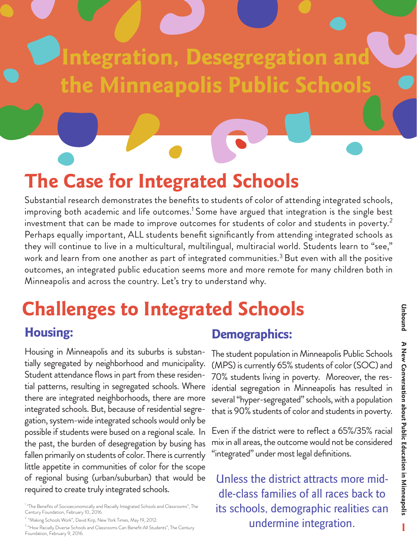# **Integration, Desegregation and the Minneapolis Public Schools**

## **The Case for Integrated Schools**

Substantial research demonstrates the benefits to students of color of attending integrated schools, improving both academic and life outcomes.<sup>1</sup> Some have argued that integration is the single best investment that can be made to improve outcomes for students of color and students in poverty.<sup>2</sup> Perhaps equally important, ALL students benefit significantly from attending integrated schools as they will continue to live in a multicultural, multilingual, multiracial world. Students learn to "see," work and learn from one another as part of integrated communities.<sup>3</sup> But even with all the positive outcomes, an integrated public education seems more and more remote for many children both in Minneapolis and across the country. Let's try to understand why.

#### **Challenges to Integrated Schools Housing: Demographics:**

Housing in Minneapolis and its suburbs is substantially segregated by neighborhood and municipality. Student attendance flows in part from these residential patterns, resulting in segregated schools. Where there are integrated neighborhoods, there are more integrated schools. But, because of residential segregation, system-wide integrated schools would only be possible if students were bused on a regional scale. In the past, the burden of desegregation by busing has fallen primarily on students of color. There is currently little appetite in communities of color for the scope of regional busing (urban/suburban) that would be required to create truly integrated schools.

<sup>1</sup> "The Benefits of Socioeconomically and Racially Integrated Schools and Classrooms", The Century Foundation, February 10, 2016.

<sup>2</sup> "Making Schools Work", David Kirp, New York Times, May 19, 2012.

<sup>3</sup> "How Racially Diverse Schools and Classrooms Can Benefit All Students", The Century Foundation, February 9, 2016.

The student population in Minneapolis Public Schools (MPS) is currently 65% students of color (SOC) and 70% students living in poverty. Moreover, the residential segregation in Minneapolis has resulted in several "hyper-segregated" schools, with a population that is 90% students of color and students in poverty.

Even if the district were to reflect a 65%/35% racial mix in all areas, the outcome would not be considered "integrated" under most legal definitions.

Unless the district attracts more middle-class families of all races back to its schools, demographic realities can undermine integration.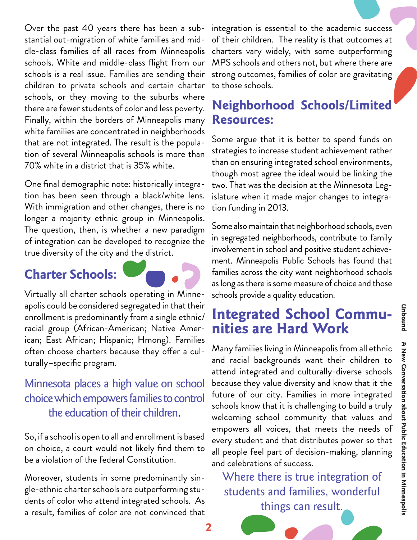Over the past 40 years there has been a substantial out-migration of white families and middle-class families of all races from Minneapolis schools. White and middle-class flight from our schools is a real issue. Families are sending their children to private schools and certain charter schools, or they moving to the suburbs where there are fewer students of color and less poverty. Finally, within the borders of Minneapolis many white families are concentrated in neighborhoods that are not integrated. The result is the population of several Minneapolis schools is more than 70% white in a district that is 35% white.

One final demographic note: historically integration has been seen through a black/white lens. With immigration and other changes, there is no longer a majority ethnic group in Minneapolis. The question, then, is whether a new paradigm of integration can be developed to recognize the true diversity of the city and the district.

#### **Charter Schools:**

Virtually all charter schools operating in Minneapolis could be considered segregated in that their enrollment is predominantly from a single ethnic/ racial group (African-American; Native American; East African; Hispanic; Hmong). Families often choose charters because they offer a culturally–specific program.

#### Minnesota places a high value on school choice which empowers families to control the education of their children.

So, if a school is open to all and enrollment is based on choice, a court would not likely find them to be a violation of the federal Constitution.

Moreover, students in some predominantly single-ethnic charter schools are outperforming students of color who attend integrated schools. As a result, families of color are not convinced that integration is essential to the academic success of their children. The reality is that outcomes at charters vary widely, with some outperforming MPS schools and others not, but where there are strong outcomes, families of color are gravitating to those schools.

### **Neighborhood Schools/Limited Resources:**

Some argue that it is better to spend funds on strategies to increase student achievement rather than on ensuring integrated school environments, though most agree the ideal would be linking the two. That was the decision at the Minnesota Legislature when it made major changes to integration funding in 2013.

Some also maintain that neighborhood schools, even in segregated neighborhoods, contribute to family involvement in school and positive student achievement. Minneapolis Public Schools has found that families across the city want neighborhood schools as long as there is some measure of choice and those schools provide a quality education.

# **Integrated School Commu- nities are Hard Work**

Many families living in Minneapolis from all ethnic and racial backgrounds want their children to attend integrated and culturally-diverse schools because they value diversity and know that it the future of our city. Families in more integrated schools know that it is challenging to build a truly welcoming school community that values and empowers all voices, that meets the needs of every student and that distributes power so that all people feel part of decision-making, planning and celebrations of success.

Where there is true integration of students and families, wonderful things can result.

**2**